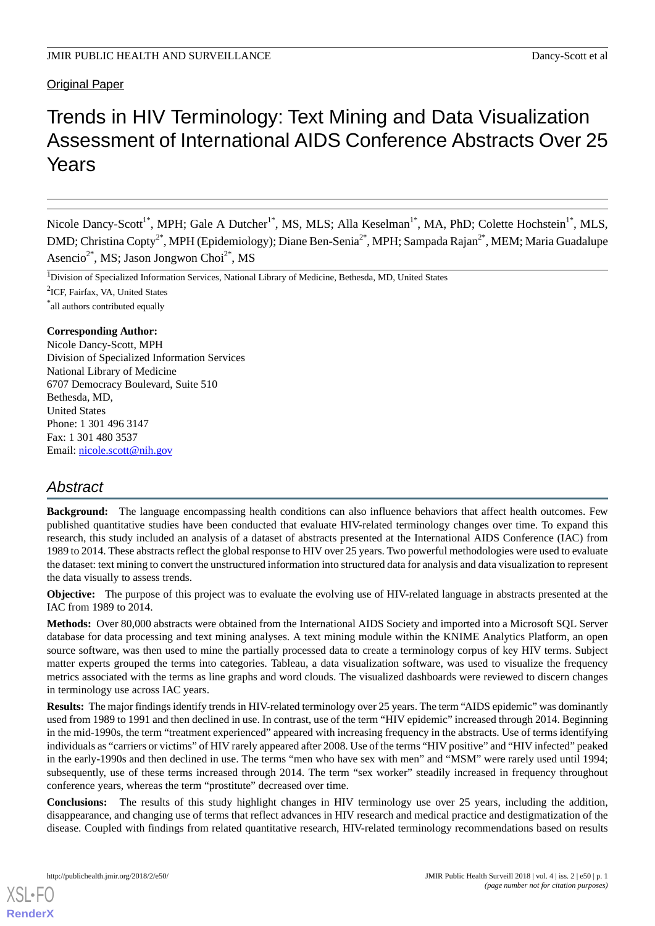# Trends in HIV Terminology: Text Mining and Data Visualization Assessment of International AIDS Conference Abstracts Over 25 Years

Nicole Dancy-Scott<sup>1\*</sup>, MPH; Gale A Dutcher<sup>1\*</sup>, MS, MLS; Alla Keselman<sup>1\*</sup>, MA, PhD; Colette Hochstein<sup>1\*</sup>, MLS, DMD; Christina Copty<sup>2\*</sup>, MPH (Epidemiology); Diane Ben-Senia<sup>2\*</sup>, MPH; Sampada Rajan<sup>2\*</sup>, MEM; Maria Guadalupe Asencio<sup>2\*</sup>, MS; Jason Jongwon Choi<sup>2\*</sup>, MS

<sup>1</sup>Division of Specialized Information Services, National Library of Medicine, Bethesda, MD, United States

2 ICF, Fairfax, VA, United States

\* all authors contributed equally

# **Corresponding Author:**

Nicole Dancy-Scott, MPH Division of Specialized Information Services National Library of Medicine 6707 Democracy Boulevard, Suite 510 Bethesda, MD, United States Phone: 1 301 496 3147 Fax: 1 301 480 3537 Email: [nicole.scott@nih.gov](mailto:nicole.scott@nih.gov)

# *Abstract*

**Background:** The language encompassing health conditions can also influence behaviors that affect health outcomes. Few published quantitative studies have been conducted that evaluate HIV-related terminology changes over time. To expand this research, this study included an analysis of a dataset of abstracts presented at the International AIDS Conference (IAC) from 1989 to 2014. These abstracts reflect the global response to HIV over 25 years. Two powerful methodologies were used to evaluate the dataset: text mining to convert the unstructured information into structured data for analysis and data visualization to represent the data visually to assess trends.

**Objective:** The purpose of this project was to evaluate the evolving use of HIV-related language in abstracts presented at the IAC from 1989 to 2014.

**Methods:** Over 80,000 abstracts were obtained from the International AIDS Society and imported into a Microsoft SQL Server database for data processing and text mining analyses. A text mining module within the KNIME Analytics Platform, an open source software, was then used to mine the partially processed data to create a terminology corpus of key HIV terms. Subject matter experts grouped the terms into categories. Tableau, a data visualization software, was used to visualize the frequency metrics associated with the terms as line graphs and word clouds. The visualized dashboards were reviewed to discern changes in terminology use across IAC years.

**Results:** The major findings identify trends in HIV-related terminology over 25 years. The term "AIDS epidemic" was dominantly used from 1989 to 1991 and then declined in use. In contrast, use of the term "HIV epidemic" increased through 2014. Beginning in the mid-1990s, the term "treatment experienced" appeared with increasing frequency in the abstracts. Use of terms identifying individuals as "carriers or victims" of HIV rarely appeared after 2008. Use of the terms "HIV positive" and "HIV infected" peaked in the early-1990s and then declined in use. The terms "men who have sex with men" and "MSM" were rarely used until 1994; subsequently, use of these terms increased through 2014. The term "sex worker" steadily increased in frequency throughout conference years, whereas the term "prostitute" decreased over time.

**Conclusions:** The results of this study highlight changes in HIV terminology use over 25 years, including the addition, disappearance, and changing use of terms that reflect advances in HIV research and medical practice and destigmatization of the disease. Coupled with findings from related quantitative research, HIV-related terminology recommendations based on results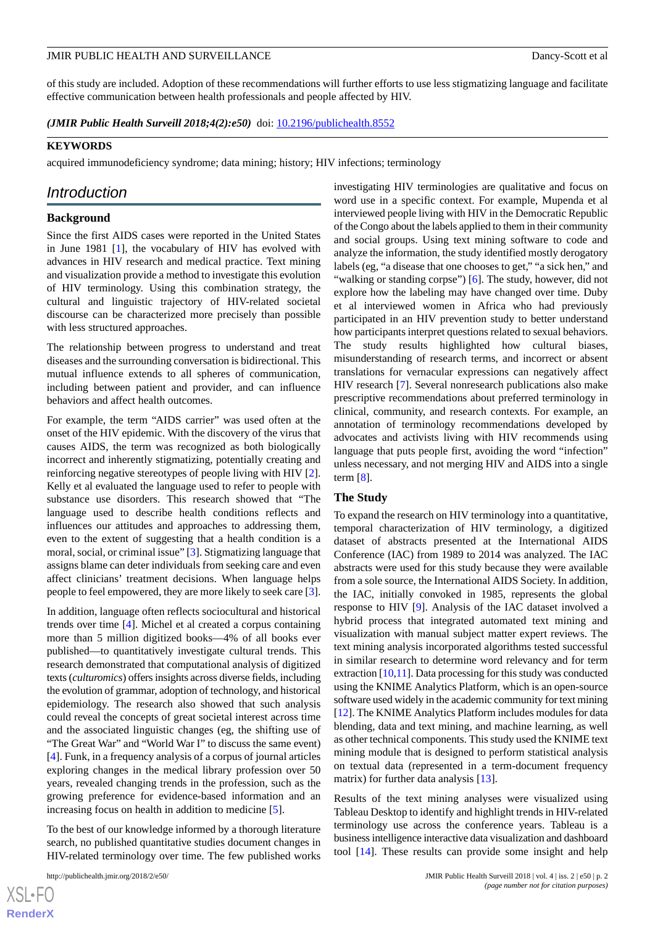of this study are included. Adoption of these recommendations will further efforts to use less stigmatizing language and facilitate effective communication between health professionals and people affected by HIV.

*(JMIR Public Health Surveill 2018;4(2):e50)* doi: **[10.2196/publichealth.8552](http://dx.doi.org/10.2196/publichealth.8552)** 

## **KEYWORDS**

acquired immunodeficiency syndrome; data mining; history; HIV infections; terminology

# *Introduction*

# **Background**

Since the first AIDS cases were reported in the United States in June 1981 [\[1](#page-12-0)], the vocabulary of HIV has evolved with advances in HIV research and medical practice. Text mining and visualization provide a method to investigate this evolution of HIV terminology. Using this combination strategy, the cultural and linguistic trajectory of HIV-related societal discourse can be characterized more precisely than possible with less structured approaches.

The relationship between progress to understand and treat diseases and the surrounding conversation is bidirectional. This mutual influence extends to all spheres of communication, including between patient and provider, and can influence behaviors and affect health outcomes.

For example, the term "AIDS carrier" was used often at the onset of the HIV epidemic. With the discovery of the virus that causes AIDS, the term was recognized as both biologically incorrect and inherently stigmatizing, potentially creating and reinforcing negative stereotypes of people living with HIV [[2\]](#page-12-1). Kelly et al evaluated the language used to refer to people with substance use disorders. This research showed that "The language used to describe health conditions reflects and influences our attitudes and approaches to addressing them, even to the extent of suggesting that a health condition is a moral, social, or criminal issue" [[3\]](#page-12-2). Stigmatizing language that assigns blame can deter individuals from seeking care and even affect clinicians' treatment decisions. When language helps people to feel empowered, they are more likely to seek care [[3\]](#page-12-2).

In addition, language often reflects sociocultural and historical trends over time [[4\]](#page-12-3). Michel et al created a corpus containing more than 5 million digitized books—4% of all books ever published—to quantitatively investigate cultural trends. This research demonstrated that computational analysis of digitized texts (*culturomics*) offers insights across diverse fields, including the evolution of grammar, adoption of technology, and historical epidemiology. The research also showed that such analysis could reveal the concepts of great societal interest across time and the associated linguistic changes (eg, the shifting use of "The Great War" and "World War I" to discuss the same event) [[4\]](#page-12-3). Funk, in a frequency analysis of a corpus of journal articles exploring changes in the medical library profession over 50 years, revealed changing trends in the profession, such as the growing preference for evidence-based information and an increasing focus on health in addition to medicine [\[5](#page-12-4)].

To the best of our knowledge informed by a thorough literature search, no published quantitative studies document changes in HIV-related terminology over time. The few published works

investigating HIV terminologies are qualitative and focus on word use in a specific context. For example, Mupenda et al interviewed people living with HIV in the Democratic Republic of the Congo about the labels applied to them in their community and social groups. Using text mining software to code and analyze the information, the study identified mostly derogatory labels (eg, "a disease that one chooses to get," "a sick hen," and "walking or standing corpse") [\[6](#page-12-5)]. The study, however, did not explore how the labeling may have changed over time. Duby et al interviewed women in Africa who had previously participated in an HIV prevention study to better understand how participants interpret questions related to sexual behaviors. The study results highlighted how cultural biases, misunderstanding of research terms, and incorrect or absent translations for vernacular expressions can negatively affect HIV research [[7\]](#page-12-6). Several nonresearch publications also make prescriptive recommendations about preferred terminology in clinical, community, and research contexts. For example, an annotation of terminology recommendations developed by advocates and activists living with HIV recommends using language that puts people first, avoiding the word "infection" unless necessary, and not merging HIV and AIDS into a single term [[8\]](#page-12-7).

## **The Study**

To expand the research on HIV terminology into a quantitative, temporal characterization of HIV terminology, a digitized dataset of abstracts presented at the International AIDS Conference (IAC) from 1989 to 2014 was analyzed. The IAC abstracts were used for this study because they were available from a sole source, the International AIDS Society. In addition, the IAC, initially convoked in 1985, represents the global response to HIV [\[9](#page-12-8)]. Analysis of the IAC dataset involved a hybrid process that integrated automated text mining and visualization with manual subject matter expert reviews. The text mining analysis incorporated algorithms tested successful in similar research to determine word relevancy and for term extraction [\[10](#page-12-9)[,11](#page-12-10)]. Data processing for this study was conducted using the KNIME Analytics Platform, which is an open-source software used widely in the academic community for text mining [[12\]](#page-12-11). The KNIME Analytics Platform includes modules for data blending, data and text mining, and machine learning, as well as other technical components. This study used the KNIME text mining module that is designed to perform statistical analysis on textual data (represented in a term-document frequency matrix) for further data analysis [[13\]](#page-12-12).

Results of the text mining analyses were visualized using Tableau Desktop to identify and highlight trends in HIV-related terminology use across the conference years. Tableau is a business intelligence interactive data visualization and dashboard tool [[14\]](#page-12-13). These results can provide some insight and help

 $XS$ -FO **[RenderX](http://www.renderx.com/)**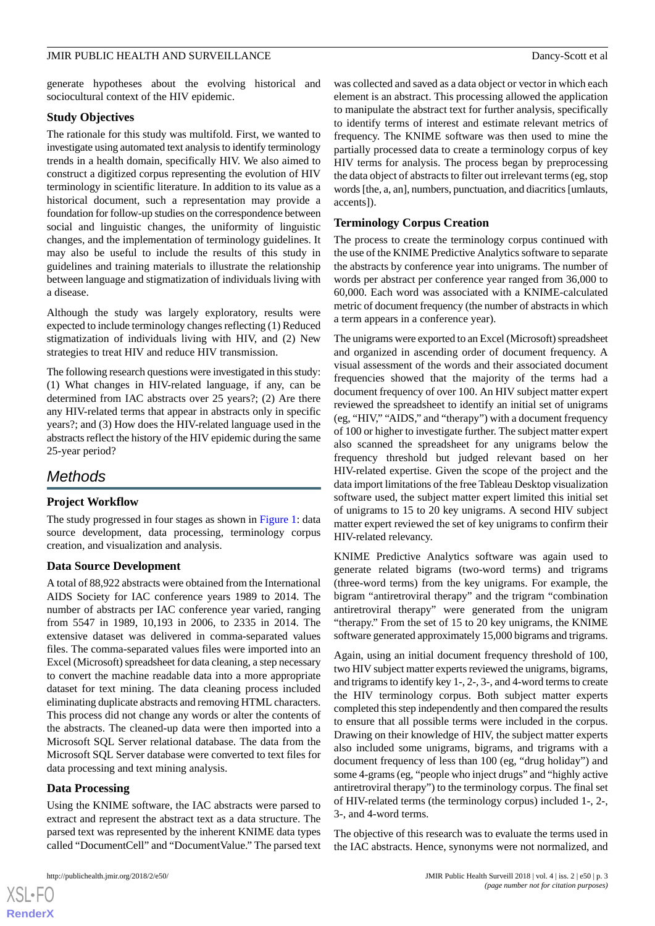generate hypotheses about the evolving historical and sociocultural context of the HIV epidemic.

# **Study Objectives**

The rationale for this study was multifold. First, we wanted to investigate using automated text analysis to identify terminology trends in a health domain, specifically HIV. We also aimed to construct a digitized corpus representing the evolution of HIV terminology in scientific literature. In addition to its value as a historical document, such a representation may provide a foundation for follow-up studies on the correspondence between social and linguistic changes, the uniformity of linguistic changes, and the implementation of terminology guidelines. It may also be useful to include the results of this study in guidelines and training materials to illustrate the relationship between language and stigmatization of individuals living with a disease.

Although the study was largely exploratory, results were expected to include terminology changes reflecting (1) Reduced stigmatization of individuals living with HIV, and (2) New strategies to treat HIV and reduce HIV transmission.

The following research questions were investigated in this study: (1) What changes in HIV-related language, if any, can be determined from IAC abstracts over 25 years?; (2) Are there any HIV-related terms that appear in abstracts only in specific years?; and (3) How does the HIV-related language used in the abstracts reflect the history of the HIV epidemic during the same 25-year period?

# *Methods*

# **Project Workflow**

The study progressed in four stages as shown in [Figure 1:](#page-3-0) data source development, data processing, terminology corpus creation, and visualization and analysis.

# **Data Source Development**

A total of 88,922 abstracts were obtained from the International AIDS Society for IAC conference years 1989 to 2014. The number of abstracts per IAC conference year varied, ranging from 5547 in 1989, 10,193 in 2006, to 2335 in 2014. The extensive dataset was delivered in comma-separated values files. The comma-separated values files were imported into an Excel (Microsoft) spreadsheet for data cleaning, a step necessary to convert the machine readable data into a more appropriate dataset for text mining. The data cleaning process included eliminating duplicate abstracts and removing HTML characters. This process did not change any words or alter the contents of the abstracts. The cleaned-up data were then imported into a Microsoft SQL Server relational database. The data from the Microsoft SQL Server database were converted to text files for data processing and text mining analysis.

# **Data Processing**

 $XS$  $\cdot$ FC **[RenderX](http://www.renderx.com/)**

Using the KNIME software, the IAC abstracts were parsed to extract and represent the abstract text as a data structure. The parsed text was represented by the inherent KNIME data types called "DocumentCell" and "DocumentValue." The parsed text

was collected and saved as a data object or vector in which each element is an abstract. This processing allowed the application to manipulate the abstract text for further analysis, specifically to identify terms of interest and estimate relevant metrics of frequency. The KNIME software was then used to mine the partially processed data to create a terminology corpus of key HIV terms for analysis. The process began by preprocessing the data object of abstracts to filter out irrelevant terms (eg, stop words [the, a, an], numbers, punctuation, and diacritics [umlauts, accents]).

# **Terminology Corpus Creation**

The process to create the terminology corpus continued with the use of the KNIME Predictive Analytics software to separate the abstracts by conference year into unigrams. The number of words per abstract per conference year ranged from 36,000 to 60,000. Each word was associated with a KNIME-calculated metric of document frequency (the number of abstracts in which a term appears in a conference year).

The unigrams were exported to an Excel (Microsoft) spreadsheet and organized in ascending order of document frequency. A visual assessment of the words and their associated document frequencies showed that the majority of the terms had a document frequency of over 100. An HIV subject matter expert reviewed the spreadsheet to identify an initial set of unigrams (eg, "HIV," "AIDS," and "therapy") with a document frequency of 100 or higher to investigate further. The subject matter expert also scanned the spreadsheet for any unigrams below the frequency threshold but judged relevant based on her HIV-related expertise. Given the scope of the project and the data import limitations of the free Tableau Desktop visualization software used, the subject matter expert limited this initial set of unigrams to 15 to 20 key unigrams. A second HIV subject matter expert reviewed the set of key unigrams to confirm their HIV-related relevancy.

KNIME Predictive Analytics software was again used to generate related bigrams (two-word terms) and trigrams (three-word terms) from the key unigrams. For example, the bigram "antiretroviral therapy" and the trigram "combination antiretroviral therapy" were generated from the unigram "therapy." From the set of 15 to 20 key unigrams, the KNIME software generated approximately 15,000 bigrams and trigrams.

Again, using an initial document frequency threshold of 100, two HIV subject matter experts reviewed the unigrams, bigrams, and trigrams to identify key 1-, 2-, 3-, and 4-word terms to create the HIV terminology corpus. Both subject matter experts completed this step independently and then compared the results to ensure that all possible terms were included in the corpus. Drawing on their knowledge of HIV, the subject matter experts also included some unigrams, bigrams, and trigrams with a document frequency of less than 100 (eg, "drug holiday") and some 4-grams (eg, "people who inject drugs" and "highly active antiretroviral therapy") to the terminology corpus. The final set of HIV-related terms (the terminology corpus) included 1-, 2-, 3-, and 4-word terms.

The objective of this research was to evaluate the terms used in the IAC abstracts. Hence, synonyms were not normalized, and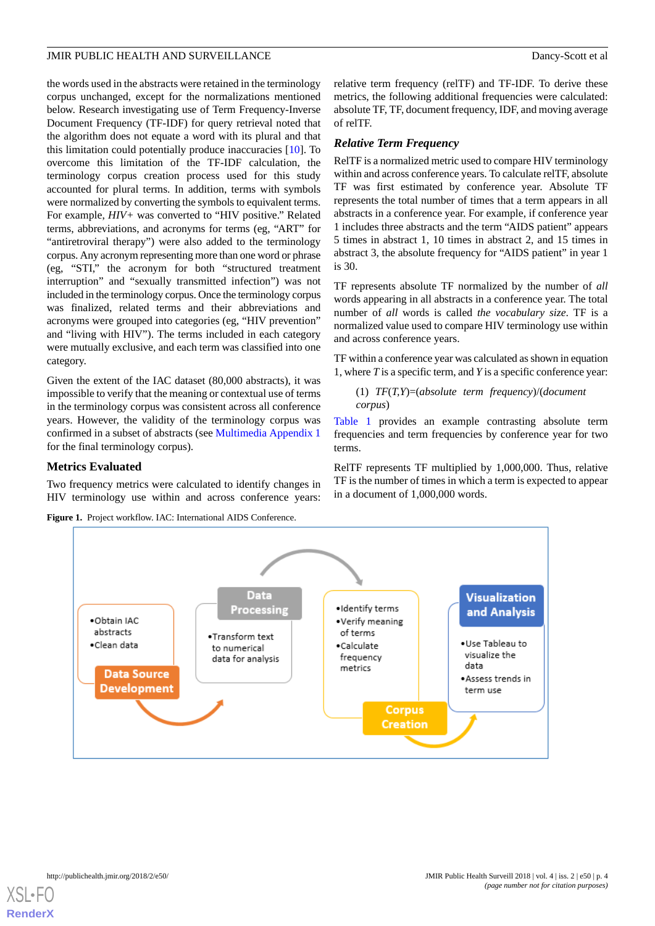the words used in the abstracts were retained in the terminology corpus unchanged, except for the normalizations mentioned below. Research investigating use of Term Frequency-Inverse Document Frequency (TF-IDF) for query retrieval noted that the algorithm does not equate a word with its plural and that this limitation could potentially produce inaccuracies [[10\]](#page-12-9). To overcome this limitation of the TF-IDF calculation, the terminology corpus creation process used for this study accounted for plural terms. In addition, terms with symbols were normalized by converting the symbols to equivalent terms. For example, *HIV+* was converted to "HIV positive." Related terms, abbreviations, and acronyms for terms (eg, "ART" for "antiretroviral therapy") were also added to the terminology corpus. Any acronym representing more than one word or phrase (eg, "STI," the acronym for both "structured treatment interruption" and "sexually transmitted infection") was not included in the terminology corpus. Once the terminology corpus was finalized, related terms and their abbreviations and acronyms were grouped into categories (eg, "HIV prevention" and "living with HIV"). The terms included in each category were mutually exclusive, and each term was classified into one category.

Given the extent of the IAC dataset (80,000 abstracts), it was impossible to verify that the meaning or contextual use of terms in the terminology corpus was consistent across all conference years. However, the validity of the terminology corpus was confirmed in a subset of abstracts (see [Multimedia Appendix 1](#page-12-14) for the final terminology corpus).

# <span id="page-3-0"></span>**Metrics Evaluated**

Two frequency metrics were calculated to identify changes in HIV terminology use within and across conference years:

**Figure 1.** Project workflow. IAC: International AIDS Conference.

relative term frequency (relTF) and TF-IDF. To derive these metrics, the following additional frequencies were calculated: absolute TF, TF, document frequency, IDF, and moving average of relTF.

# *Relative Term Frequency*

RelTF is a normalized metric used to compare HIV terminology within and across conference years. To calculate relTF, absolute TF was first estimated by conference year. Absolute TF represents the total number of times that a term appears in all abstracts in a conference year. For example, if conference year 1 includes three abstracts and the term "AIDS patient" appears 5 times in abstract 1, 10 times in abstract 2, and 15 times in abstract 3, the absolute frequency for "AIDS patient" in year 1 is 30.

TF represents absolute TF normalized by the number of *all* words appearing in all abstracts in a conference year. The total number of *all* words is called *the vocabulary size*. TF is a normalized value used to compare HIV terminology use within and across conference years.

TF within a conference year was calculated as shown in equation 1, where *T*is a specific term, and *Y*is a specific conference year:

```
(1) TF(T,Y)=(absolute term frequency)/(document
corpus)
```
[Table 1](#page-4-0) provides an example contrasting absolute term frequencies and term frequencies by conference year for two terms.

RelTF represents TF multiplied by 1,000,000. Thus, relative TF is the number of times in which a term is expected to appear in a document of 1,000,000 words.



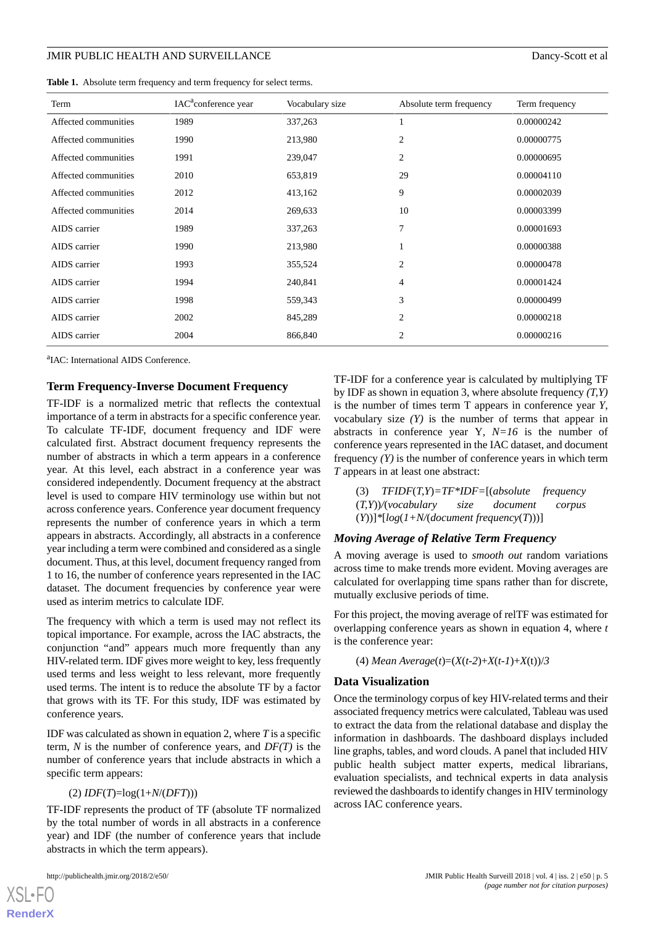<span id="page-4-0"></span>**Table 1.** Absolute term frequency and term frequency for select terms.

| Term                 | IAC <sup>a</sup> conference year | Vocabulary size | Absolute term frequency | Term frequency |
|----------------------|----------------------------------|-----------------|-------------------------|----------------|
| Affected communities | 1989                             | 337,263         |                         | 0.00000242     |
| Affected communities | 1990                             | 213,980         | 2                       | 0.00000775     |
| Affected communities | 1991                             | 239,047         | $\overline{c}$          | 0.00000695     |
| Affected communities | 2010                             | 653,819         | 29                      | 0.00004110     |
| Affected communities | 2012                             | 413,162         | 9                       | 0.00002039     |
| Affected communities | 2014                             | 269,633         | 10                      | 0.00003399     |
| AIDS carrier         | 1989                             | 337,263         | 7                       | 0.00001693     |
| AIDS carrier         | 1990                             | 213,980         |                         | 0.00000388     |
| AIDS carrier         | 1993                             | 355,524         | $\overline{2}$          | 0.00000478     |
| AIDS carrier         | 1994                             | 240,841         | 4                       | 0.00001424     |
| AIDS carrier         | 1998                             | 559,343         | 3                       | 0.00000499     |
| AIDS carrier         | 2002                             | 845,289         | 2                       | 0.00000218     |
| AIDS carrier         | 2004                             | 866,840         | 2                       | 0.00000216     |

<sup>a</sup>IAC: International AIDS Conference.

# **Term Frequency-Inverse Document Frequency**

TF-IDF is a normalized metric that reflects the contextual importance of a term in abstracts for a specific conference year. To calculate TF-IDF, document frequency and IDF were calculated first. Abstract document frequency represents the number of abstracts in which a term appears in a conference year. At this level, each abstract in a conference year was considered independently. Document frequency at the abstract level is used to compare HIV terminology use within but not across conference years. Conference year document frequency represents the number of conference years in which a term appears in abstracts. Accordingly, all abstracts in a conference year including a term were combined and considered as a single document. Thus, at this level, document frequency ranged from 1 to 16, the number of conference years represented in the IAC dataset. The document frequencies by conference year were used as interim metrics to calculate IDF.

The frequency with which a term is used may not reflect its topical importance. For example, across the IAC abstracts, the conjunction "and" appears much more frequently than any HIV-related term. IDF gives more weight to key, less frequently used terms and less weight to less relevant, more frequently used terms. The intent is to reduce the absolute TF by a factor that grows with its TF. For this study, IDF was estimated by conference years.

IDF was calculated as shown in equation 2, where *T*is a specific term, *N* is the number of conference years, and *DF(T)* is the number of conference years that include abstracts in which a specific term appears:

#### (2) *IDF*(*T*)=log(1+*N*/(*DFT*)))

TF-IDF represents the product of TF (absolute TF normalized by the total number of words in all abstracts in a conference year) and IDF (the number of conference years that include abstracts in which the term appears).

[XSL](http://www.w3.org/Style/XSL)•FO **[RenderX](http://www.renderx.com/)**

TF-IDF for a conference year is calculated by multiplying TF by IDF as shown in equation 3, where absolute frequency *(T,Y)* is the number of times term T appears in conference year *Y*, vocabulary size  $(Y)$  is the number of terms that appear in abstracts in conference year Y*, N=16* is the number of conference years represented in the IAC dataset, and document frequency *(Y)* is the number of conference years in which term *T* appears in at least one abstract:

(3) *TFIDF*(*T,Y*)*=TF\*IDF=*[(*absolute frequency* (*T,Y*))*/*(*vocabulary size document corpus* (*Y*))]*\**[*log*(*1+N/*(*document frequency*(*T*)))]

#### *Moving Average of Relative Term Frequency*

A moving average is used to *smooth out* random variations across time to make trends more evident. Moving averages are calculated for overlapping time spans rather than for discrete, mutually exclusive periods of time.

For this project, the moving average of relTF was estimated for overlapping conference years as shown in equation 4, where *t* is the conference year:

(4) *Mean Average*(*t*)=(*X*(*t-2*)+*X*(*t-1*)+*X*(t))/*3*

#### **Data Visualization**

Once the terminology corpus of key HIV-related terms and their associated frequency metrics were calculated, Tableau was used to extract the data from the relational database and display the information in dashboards. The dashboard displays included line graphs, tables, and word clouds. A panel that included HIV public health subject matter experts, medical librarians, evaluation specialists, and technical experts in data analysis reviewed the dashboards to identify changes in HIV terminology across IAC conference years.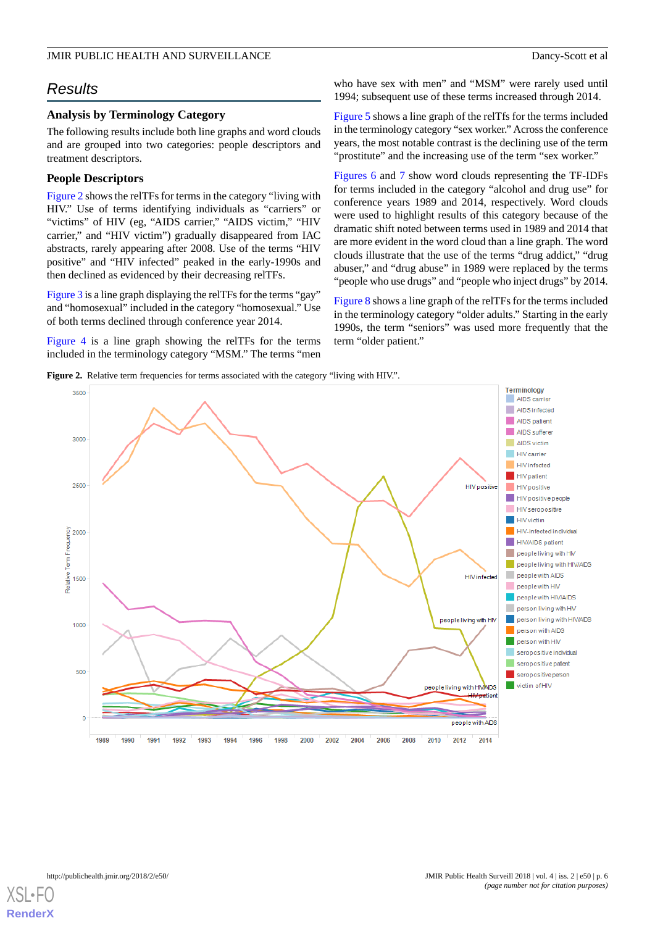# *Results*

# **Analysis by Terminology Category**

The following results include both line graphs and word clouds and are grouped into two categories: people descriptors and treatment descriptors.

# **People Descriptors**

[Figure 2](#page-5-0) shows the relTFs for terms in the category "living with HIV." Use of terms identifying individuals as "carriers" or "victims" of HIV (eg, "AIDS carrier," "AIDS victim," "HIV carrier," and "HIV victim") gradually disappeared from IAC abstracts, rarely appearing after 2008. Use of the terms "HIV positive" and "HIV infected" peaked in the early-1990s and then declined as evidenced by their decreasing relTFs.

[Figure 3](#page-6-0) is a line graph displaying the relTFs for the terms "gay" and "homosexual" included in the category "homosexual." Use of both terms declined through conference year 2014.

<span id="page-5-0"></span>[Figure 4](#page-6-1) is a line graph showing the relTFs for the terms included in the terminology category "MSM." The terms "men

who have sex with men" and "MSM" were rarely used until 1994; subsequent use of these terms increased through 2014.

[Figure 5](#page-7-0) shows a line graph of the relTfs for the terms included in the terminology category "sex worker." Across the conference years, the most notable contrast is the declining use of the term "prostitute" and the increasing use of the term "sex worker."

[Figures 6](#page-7-1) and [7](#page-8-0) show word clouds representing the TF-IDFs for terms included in the category "alcohol and drug use" for conference years 1989 and 2014, respectively. Word clouds were used to highlight results of this category because of the dramatic shift noted between terms used in 1989 and 2014 that are more evident in the word cloud than a line graph. The word clouds illustrate that the use of the terms "drug addict," "drug abuser," and "drug abuse" in 1989 were replaced by the terms "people who use drugs" and "people who inject drugs" by 2014.

[Figure 8](#page-8-1) shows a line graph of the relTFs for the terms included in the terminology category "older adults." Starting in the early 1990s, the term "seniors" was used more frequently that the term "older patient."

Figure 2. Relative term frequencies for terms associated with the category "living with HIV.".



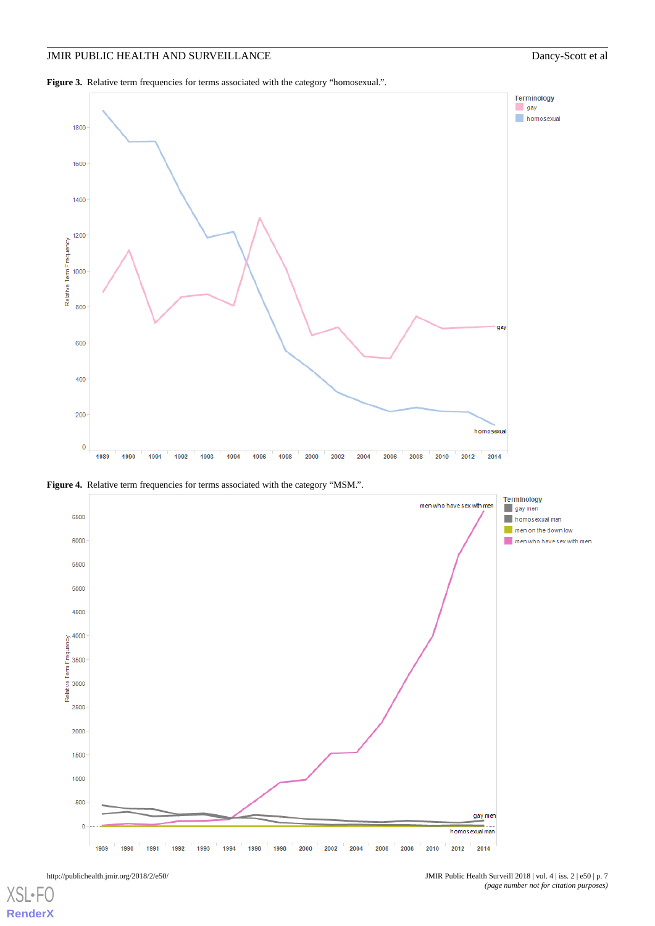<span id="page-6-0"></span>Figure 3. Relative term frequencies for terms associated with the category "homosexual.".



<span id="page-6-1"></span>**Figure 4.** Relative term frequencies for terms associated with the category "MSM.".

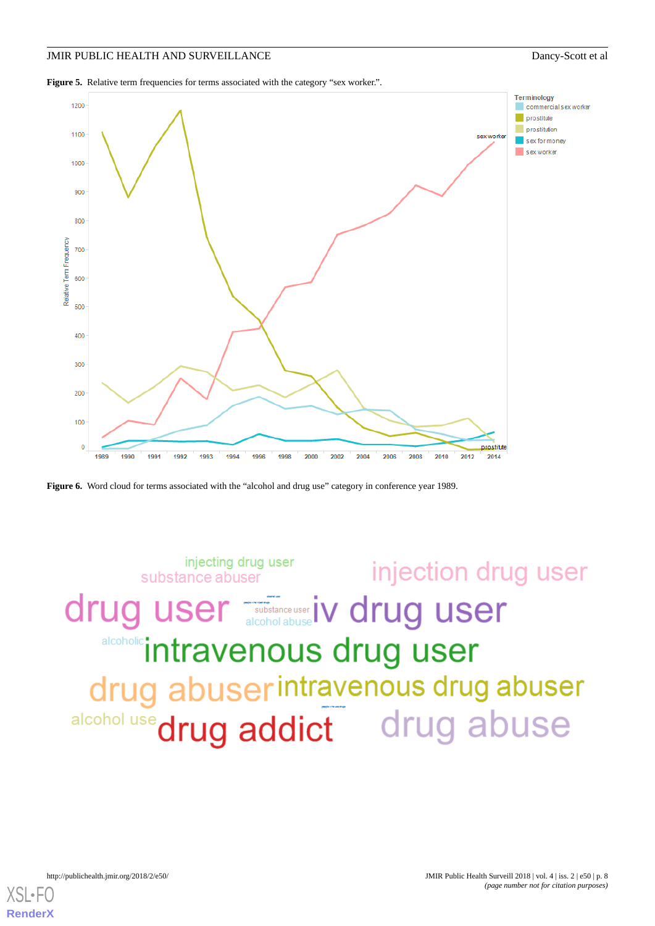<span id="page-7-0"></span>Figure 5. Relative term frequencies for terms associated with the category "sex worker.".



<span id="page-7-1"></span>



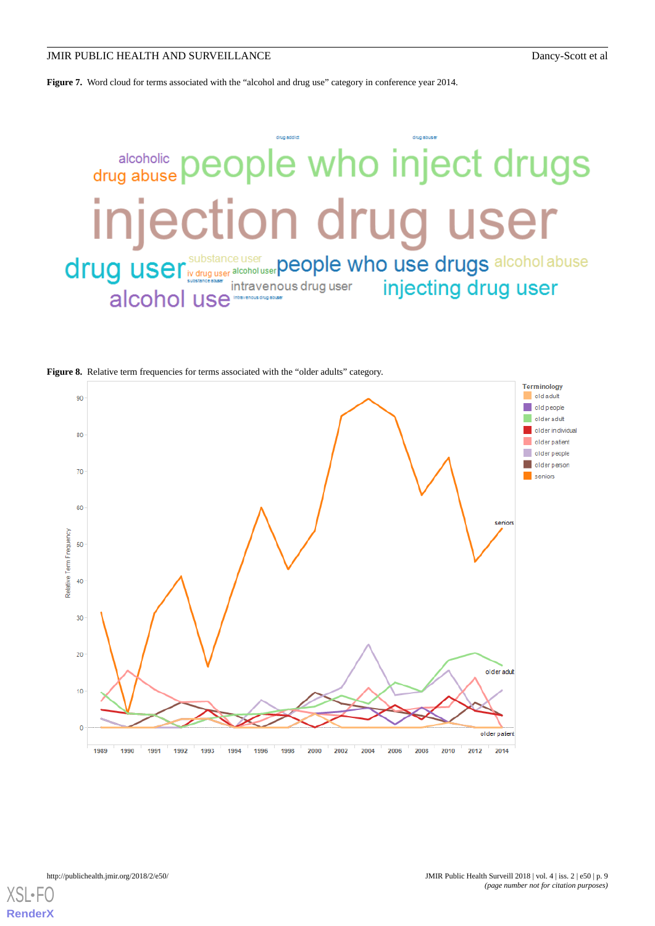<span id="page-8-0"></span>**Figure 7.** Word cloud for terms associated with the "alcohol and drug use" category in conference year 2014.

# drug addict drug abuse people who inject drugs injection drug user drug user substance user alcoholuser people who use drugs alcohol abuse injecting drug user intravenous drug user alcohol use

<span id="page-8-1"></span>





**[RenderX](http://www.renderx.com/)**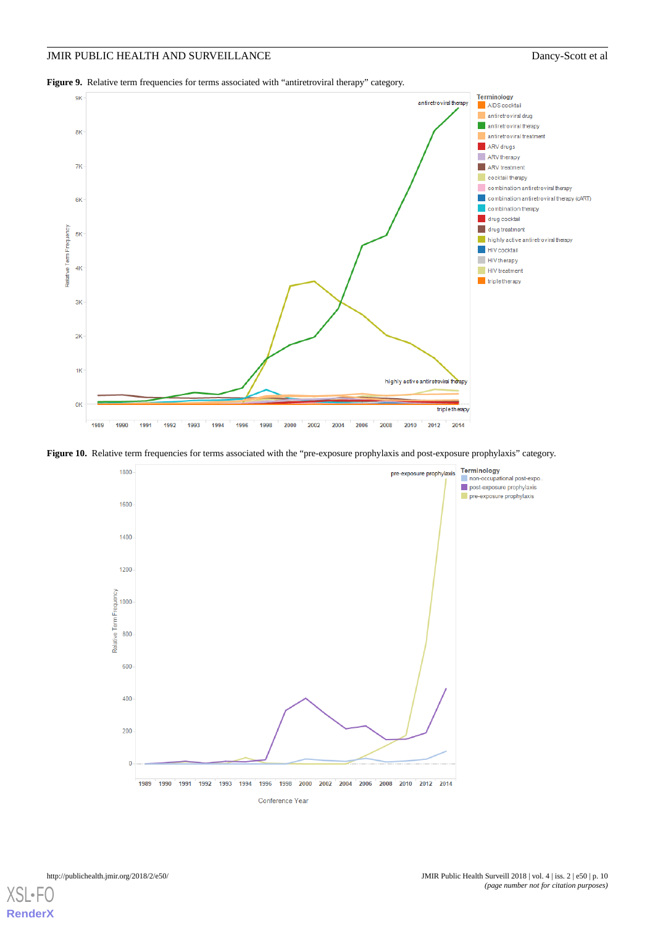<span id="page-9-0"></span>Figure 9. Relative term frequencies for terms associated with "antiretroviral therapy" category.



<span id="page-9-1"></span>Figure 10. Relative term frequencies for terms associated with the "pre-exposure prophylaxis and post-exposure prophylaxis" category.



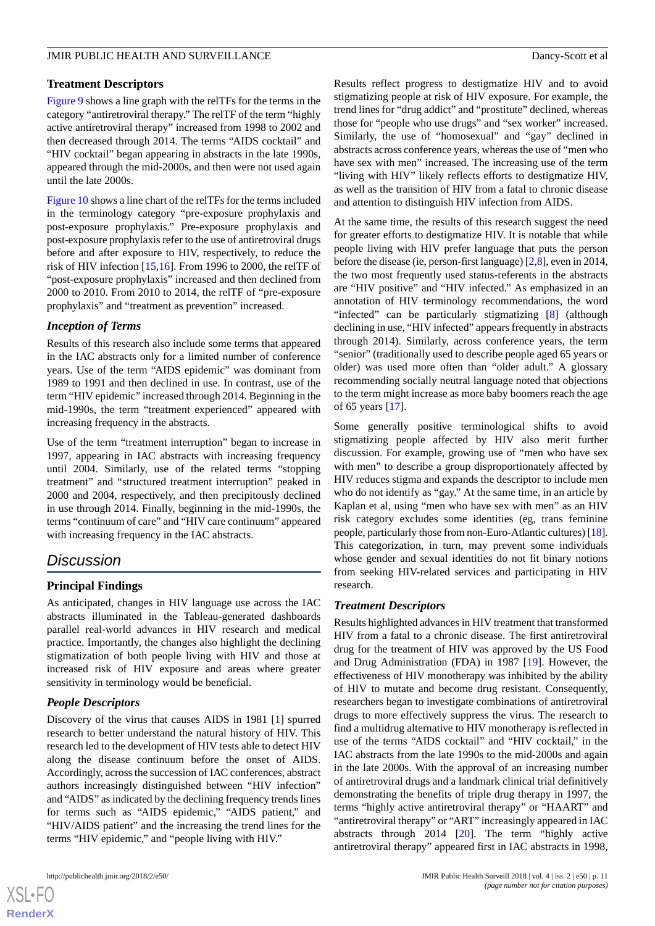# **Treatment Descriptors**

[Figure 9](#page-9-0) shows a line graph with the relTFs for the terms in the category "antiretroviral therapy." The relTF of the term "highly active antiretroviral therapy" increased from 1998 to 2002 and then decreased through 2014. The terms "AIDS cocktail" and "HIV cocktail" began appearing in abstracts in the late 1990s, appeared through the mid-2000s, and then were not used again until the late 2000s.

[Figure 10](#page-9-1) shows a line chart of the relTFs for the terms included in the terminology category "pre-exposure prophylaxis and post-exposure prophylaxis." Pre-exposure prophylaxis and post-exposure prophylaxis refer to the use of antiretroviral drugs before and after exposure to HIV, respectively, to reduce the risk of HIV infection [[15](#page-12-15)[,16](#page-12-16)]. From 1996 to 2000, the relTF of "post-exposure prophylaxis" increased and then declined from 2000 to 2010. From 2010 to 2014, the relTF of "pre-exposure prophylaxis" and "treatment as prevention" increased.

# *Inception of Terms*

Results of this research also include some terms that appeared in the IAC abstracts only for a limited number of conference years. Use of the term "AIDS epidemic" was dominant from 1989 to 1991 and then declined in use. In contrast, use of the term "HIV epidemic" increased through 2014. Beginning in the mid-1990s, the term "treatment experienced" appeared with increasing frequency in the abstracts.

Use of the term "treatment interruption" began to increase in 1997, appearing in IAC abstracts with increasing frequency until 2004. Similarly, use of the related terms "stopping treatment" and "structured treatment interruption" peaked in 2000 and 2004, respectively, and then precipitously declined in use through 2014. Finally, beginning in the mid-1990s, the terms "continuum of care" and "HIV care continuum" appeared with increasing frequency in the IAC abstracts.

# *Discussion*

# **Principal Findings**

As anticipated, changes in HIV language use across the IAC abstracts illuminated in the Tableau-generated dashboards parallel real-world advances in HIV research and medical practice. Importantly, the changes also highlight the declining stigmatization of both people living with HIV and those at increased risk of HIV exposure and areas where greater sensitivity in terminology would be beneficial.

# *People Descriptors*

Discovery of the virus that causes AIDS in 1981 [[1\]](#page-12-0) spurred research to better understand the natural history of HIV. This research led to the development of HIV tests able to detect HIV along the disease continuum before the onset of AIDS. Accordingly, across the succession of IAC conferences, abstract authors increasingly distinguished between "HIV infection" and "AIDS" as indicated by the declining frequency trends lines for terms such as "AIDS epidemic," "AIDS patient," and "HIV/AIDS patient" and the increasing the trend lines for the terms "HIV epidemic," and "people living with HIV."

Results reflect progress to destigmatize HIV and to avoid stigmatizing people at risk of HIV exposure. For example, the trend lines for "drug addict" and "prostitute" declined, whereas those for "people who use drugs" and "sex worker" increased. Similarly, the use of "homosexual" and "gay" declined in abstracts across conference years, whereas the use of "men who have sex with men" increased. The increasing use of the term "living with HIV" likely reflects efforts to destigmatize HIV, as well as the transition of HIV from a fatal to chronic disease and attention to distinguish HIV infection from AIDS.

At the same time, the results of this research suggest the need for greater efforts to destigmatize HIV. It is notable that while people living with HIV prefer language that puts the person before the disease (ie, person-first language) [[2](#page-12-1)[,8](#page-12-7)], even in 2014, the two most frequently used status-referents in the abstracts are "HIV positive" and "HIV infected." As emphasized in an annotation of HIV terminology recommendations, the word "infected" can be particularly stigmatizing [[8\]](#page-12-7) (although declining in use, "HIV infected" appears frequently in abstracts through 2014). Similarly, across conference years, the term "senior" (traditionally used to describe people aged 65 years or older) was used more often than "older adult." A glossary recommending socially neutral language noted that objections to the term might increase as more baby boomers reach the age of 65 years [[17\]](#page-12-17).

Some generally positive terminological shifts to avoid stigmatizing people affected by HIV also merit further discussion. For example, growing use of "men who have sex with men" to describe a group disproportionately affected by HIV reduces stigma and expands the descriptor to include men who do not identify as "gay." At the same time, in an article by Kaplan et al, using "men who have sex with men" as an HIV risk category excludes some identities (eg, trans feminine people, particularly those from non-Euro-Atlantic cultures) [\[18](#page-12-18)]. This categorization, in turn, may prevent some individuals whose gender and sexual identities do not fit binary notions from seeking HIV-related services and participating in HIV research.

# *Treatment Descriptors*

Results highlighted advances in HIV treatment that transformed HIV from a fatal to a chronic disease. The first antiretroviral drug for the treatment of HIV was approved by the US Food and Drug Administration (FDA) in 1987 [\[19](#page-13-0)]. However, the effectiveness of HIV monotherapy was inhibited by the ability of HIV to mutate and become drug resistant. Consequently, researchers began to investigate combinations of antiretroviral drugs to more effectively suppress the virus. The research to find a multidrug alternative to HIV monotherapy is reflected in use of the terms "AIDS cocktail" and "HIV cocktail," in the IAC abstracts from the late 1990s to the mid-2000s and again in the late 2000s. With the approval of an increasing number of antiretroviral drugs and a landmark clinical trial definitively demonstrating the benefits of triple drug therapy in 1997, the terms "highly active antiretroviral therapy" or "HAART" and "antiretroviral therapy" or "ART" increasingly appeared in IAC abstracts through 2014 [\[20](#page-13-1)]. The term "highly active antiretroviral therapy" appeared first in IAC abstracts in 1998,

```
XSI - F(RenderX
```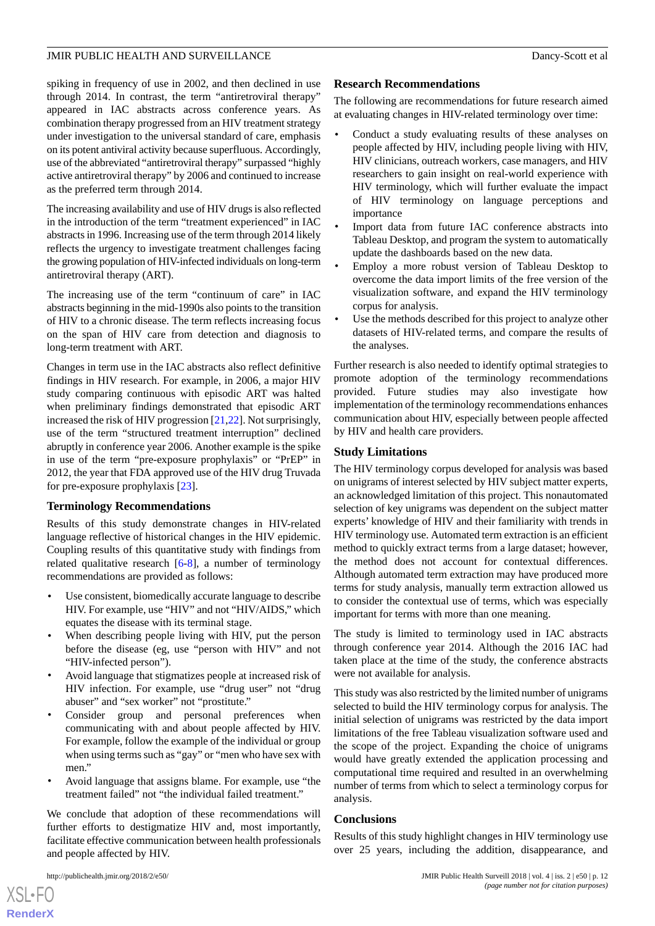spiking in frequency of use in 2002, and then declined in use through 2014. In contrast, the term "antiretroviral therapy" appeared in IAC abstracts across conference years. As combination therapy progressed from an HIV treatment strategy under investigation to the universal standard of care, emphasis on its potent antiviral activity because superfluous. Accordingly, use of the abbreviated "antiretroviral therapy" surpassed "highly active antiretroviral therapy" by 2006 and continued to increase as the preferred term through 2014.

The increasing availability and use of HIV drugs is also reflected in the introduction of the term "treatment experienced" in IAC abstracts in 1996. Increasing use of the term through 2014 likely reflects the urgency to investigate treatment challenges facing the growing population of HIV-infected individuals on long-term antiretroviral therapy (ART).

The increasing use of the term "continuum of care" in IAC abstracts beginning in the mid-1990s also points to the transition of HIV to a chronic disease. The term reflects increasing focus on the span of HIV care from detection and diagnosis to long-term treatment with ART.

Changes in term use in the IAC abstracts also reflect definitive findings in HIV research. For example, in 2006, a major HIV study comparing continuous with episodic ART was halted when preliminary findings demonstrated that episodic ART increased the risk of HIV progression [[21](#page-13-2)[,22](#page-13-3)]. Not surprisingly, use of the term "structured treatment interruption" declined abruptly in conference year 2006. Another example is the spike in use of the term "pre-exposure prophylaxis" or "PrEP" in 2012, the year that FDA approved use of the HIV drug Truvada for pre-exposure prophylaxis [\[23](#page-13-4)].

# **Terminology Recommendations**

Results of this study demonstrate changes in HIV-related language reflective of historical changes in the HIV epidemic. Coupling results of this quantitative study with findings from related qualitative research [[6](#page-12-5)[-8](#page-12-7)], a number of terminology recommendations are provided as follows:

- Use consistent, biomedically accurate language to describe HIV. For example, use "HIV" and not "HIV/AIDS," which equates the disease with its terminal stage.
- When describing people living with HIV, put the person before the disease (eg, use "person with HIV" and not "HIV-infected person").
- Avoid language that stigmatizes people at increased risk of HIV infection. For example, use "drug user" not "drug abuser" and "sex worker" not "prostitute."
- Consider group and personal preferences when communicating with and about people affected by HIV. For example, follow the example of the individual or group when using terms such as "gay" or "men who have sex with men."
- Avoid language that assigns blame. For example, use "the treatment failed" not "the individual failed treatment."

We conclude that adoption of these recommendations will further efforts to destigmatize HIV and, most importantly, facilitate effective communication between health professionals and people affected by HIV.

 $XSI - F($ **[RenderX](http://www.renderx.com/)**

# **Research Recommendations**

The following are recommendations for future research aimed at evaluating changes in HIV-related terminology over time:

- Conduct a study evaluating results of these analyses on people affected by HIV, including people living with HIV, HIV clinicians, outreach workers, case managers, and HIV researchers to gain insight on real-world experience with HIV terminology, which will further evaluate the impact of HIV terminology on language perceptions and importance
- Import data from future IAC conference abstracts into Tableau Desktop, and program the system to automatically update the dashboards based on the new data.
- Employ a more robust version of Tableau Desktop to overcome the data import limits of the free version of the visualization software, and expand the HIV terminology corpus for analysis.
- Use the methods described for this project to analyze other datasets of HIV-related terms, and compare the results of the analyses.

Further research is also needed to identify optimal strategies to promote adoption of the terminology recommendations provided. Future studies may also investigate how implementation of the terminology recommendations enhances communication about HIV, especially between people affected by HIV and health care providers.

# **Study Limitations**

The HIV terminology corpus developed for analysis was based on unigrams of interest selected by HIV subject matter experts, an acknowledged limitation of this project. This nonautomated selection of key unigrams was dependent on the subject matter experts' knowledge of HIV and their familiarity with trends in HIV terminology use. Automated term extraction is an efficient method to quickly extract terms from a large dataset; however, the method does not account for contextual differences. Although automated term extraction may have produced more terms for study analysis, manually term extraction allowed us to consider the contextual use of terms, which was especially important for terms with more than one meaning.

The study is limited to terminology used in IAC abstracts through conference year 2014. Although the 2016 IAC had taken place at the time of the study, the conference abstracts were not available for analysis.

This study was also restricted by the limited number of unigrams selected to build the HIV terminology corpus for analysis. The initial selection of unigrams was restricted by the data import limitations of the free Tableau visualization software used and the scope of the project. Expanding the choice of unigrams would have greatly extended the application processing and computational time required and resulted in an overwhelming number of terms from which to select a terminology corpus for analysis.

# **Conclusions**

Results of this study highlight changes in HIV terminology use over 25 years, including the addition, disappearance, and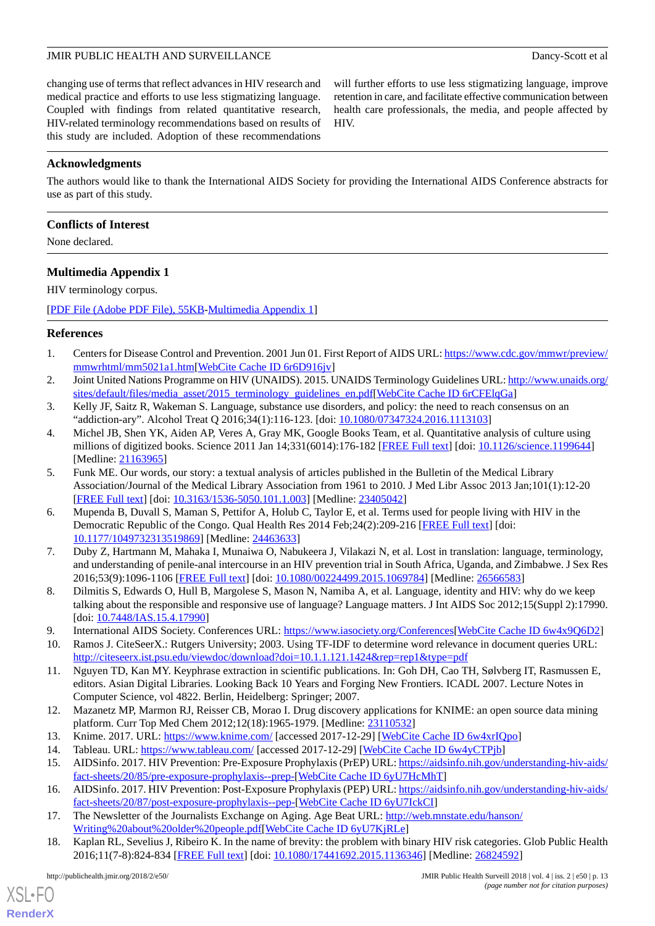changing use of terms that reflect advances in HIV research and medical practice and efforts to use less stigmatizing language. Coupled with findings from related quantitative research, HIV-related terminology recommendations based on results of this study are included. Adoption of these recommendations

will further efforts to use less stigmatizing language, improve retention in care, and facilitate effective communication between health care professionals, the media, and people affected by HIV.

# **Acknowledgments**

The authors would like to thank the International AIDS Society for providing the International AIDS Conference abstracts for use as part of this study.

# **Conflicts of Interest**

<span id="page-12-14"></span>None declared.

# **Multimedia Appendix 1**

HIV terminology corpus.

<span id="page-12-0"></span>[[PDF File \(Adobe PDF File\), 55KB-Multimedia Appendix 1](https://jmir.org/api/download?alt_name=publichealth_v4i2e50_app1.pdf&filename=09429a2963b77d0271680b9a0b3aa6a1.pdf)]

# <span id="page-12-1"></span>**References**

- <span id="page-12-2"></span>1. Centers for Disease Control and Prevention. 2001 Jun 01. First Report of AIDS URL: [https://www.cdc.gov/mmwr/preview/](https://www.cdc.gov/mmwr/preview/mmwrhtml/mm5021a1.htm) [mmwrhtml/mm5021a1.htm\[](https://www.cdc.gov/mmwr/preview/mmwrhtml/mm5021a1.htm)[WebCite Cache ID 6r6D916jv](http://www.webcitation.org/

                                            6r6D916jv)]
- <span id="page-12-3"></span>2. Joint United Nations Programme on HIV (UNAIDS). 2015. UNAIDS Terminology Guidelines URL: [http://www.unaids.org/](http://www.unaids.org/sites/default/files/media_asset/2015_terminology_guidelines_en.pdf) [sites/default/files/media\\_asset/2015\\_terminology\\_guidelines\\_en.pdf](http://www.unaids.org/sites/default/files/media_asset/2015_terminology_guidelines_en.pdf)[[WebCite Cache ID 6rCFElqGa](http://www.webcitation.org/

                                            6rCFElqGa)]
- 3. Kelly JF, Saitz R, Wakeman S. Language, substance use disorders, and policy: the need to reach consensus on an "addiction-ary". Alcohol Treat Q 2016;34(1):116-123. [doi: [10.1080/07347324.2016.1113103\]](http://dx.doi.org/10.1080/07347324.2016.1113103)
- <span id="page-12-4"></span>4. Michel JB, Shen YK, Aiden AP, Veres A, Gray MK, Google Books Team, et al. Quantitative analysis of culture using millions of digitized books. Science 2011 Jan 14;331(6014):176-182 [\[FREE Full text\]](http://www.sciencemag.org/cgi/pmidlookup?view=long&pmid=21163965) [doi: [10.1126/science.1199644](http://dx.doi.org/10.1126/science.1199644)] [Medline: [21163965](http://www.ncbi.nlm.nih.gov/entrez/query.fcgi?cmd=Retrieve&db=PubMed&list_uids=21163965&dopt=Abstract)]
- <span id="page-12-5"></span>5. Funk ME. Our words, our story: a textual analysis of articles published in the Bulletin of the Medical Library Association/Journal of the Medical Library Association from 1961 to 2010. J Med Libr Assoc 2013 Jan;101(1):12-20 [[FREE Full text](http://europepmc.org/abstract/MED/23405042)] [doi: [10.3163/1536-5050.101.1.003\]](http://dx.doi.org/10.3163/1536-5050.101.1.003) [Medline: [23405042](http://www.ncbi.nlm.nih.gov/entrez/query.fcgi?cmd=Retrieve&db=PubMed&list_uids=23405042&dopt=Abstract)]
- <span id="page-12-6"></span>6. Mupenda B, Duvall S, Maman S, Pettifor A, Holub C, Taylor E, et al. Terms used for people living with HIV in the Democratic Republic of the Congo. Qual Health Res 2014 Feb:24(2):209-216 [[FREE Full text](http://europepmc.org/abstract/MED/24463633)] [doi: [10.1177/1049732313519869\]](http://dx.doi.org/10.1177/1049732313519869) [Medline: [24463633\]](http://www.ncbi.nlm.nih.gov/entrez/query.fcgi?cmd=Retrieve&db=PubMed&list_uids=24463633&dopt=Abstract)
- <span id="page-12-8"></span><span id="page-12-7"></span>7. Duby Z, Hartmann M, Mahaka I, Munaiwa O, Nabukeera J, Vilakazi N, et al. Lost in translation: language, terminology, and understanding of penile-anal intercourse in an HIV prevention trial in South Africa, Uganda, and Zimbabwe. J Sex Res 2016;53(9):1096-1106 [[FREE Full text](http://europepmc.org/abstract/MED/26566583)] [doi: [10.1080/00224499.2015.1069784\]](http://dx.doi.org/10.1080/00224499.2015.1069784) [Medline: [26566583\]](http://www.ncbi.nlm.nih.gov/entrez/query.fcgi?cmd=Retrieve&db=PubMed&list_uids=26566583&dopt=Abstract)
- <span id="page-12-10"></span><span id="page-12-9"></span>8. Dilmitis S, Edwards O, Hull B, Margolese S, Mason N, Namiba A, et al. Language, identity and HIV: why do we keep talking about the responsible and responsive use of language? Language matters. J Int AIDS Soc 2012;15(Suppl 2):17990. [doi: [10.7448/IAS.15.4.17990\]](http://dx.doi.org/10.7448/IAS.15.4.17990)
- 9. International AIDS Society. Conferences URL: [https://www.iasociety.org/Conferences\[](https://www.iasociety.org/Conferences)[WebCite Cache ID 6w4x9Q6D2\]](http://www.webcitation.org/

                             6w4x9Q6D2)
- <span id="page-12-11"></span>10. Ramos J. CiteSeerX.: Rutgers University; 2003. Using TF-IDF to determine word relevance in document queries URL: <http://citeseerx.ist.psu.edu/viewdoc/download?doi=10.1.1.121.1424&rep=rep1&type=pdf>
- <span id="page-12-15"></span><span id="page-12-13"></span><span id="page-12-12"></span>11. Nguyen TD, Kan MY. Keyphrase extraction in scientific publications. In: Goh DH, Cao TH, Sølvberg IT, Rasmussen E, editors. Asian Digital Libraries. Looking Back 10 Years and Forging New Frontiers. ICADL 2007. Lecture Notes in Computer Science, vol 4822. Berlin, Heidelberg: Springer; 2007.
- <span id="page-12-16"></span>12. Mazanetz MP, Marmon RJ, Reisser CB, Morao I. Drug discovery applications for KNIME: an open source data mining platform. Curr Top Med Chem 2012;12(18):1965-1979. [Medline: [23110532](http://www.ncbi.nlm.nih.gov/entrez/query.fcgi?cmd=Retrieve&db=PubMed&list_uids=23110532&dopt=Abstract)]
- <span id="page-12-17"></span>13. Knime. 2017. URL:<https://www.knime.com/> [accessed 2017-12-29] [[WebCite Cache ID 6w4xrIQpo\]](http://www.webcitation.org/

                                            6w4xrIQpo)
- 14. Tableau. URL:<https://www.tableau.com/> [accessed 2017-12-29] [\[WebCite Cache ID 6w4yCTPjb](http://www.webcitation.org/

                             6w4yCTPjb)]
- <span id="page-12-18"></span>15. AIDSinfo. 2017. HIV Prevention: Pre-Exposure Prophylaxis (PrEP) URL: [https://aidsinfo.nih.gov/understanding-hiv-aids/](https://aidsinfo.nih.gov/understanding-hiv-aids/fact-sheets/20/85/pre-exposure-prophylaxis--prep-) [fact-sheets/20/85/pre-exposure-prophylaxis--prep-\[](https://aidsinfo.nih.gov/understanding-hiv-aids/fact-sheets/20/85/pre-exposure-prophylaxis--prep-)[WebCite Cache ID 6yU7HcMhT\]](http://www.webcitation.org/

                                            6yU7HcMhT)
- 16. AIDSinfo. 2017. HIV Prevention: Post-Exposure Prophylaxis (PEP) URL: [https://aidsinfo.nih.gov/understanding-hiv-aids/](https://aidsinfo.nih.gov/understanding-hiv-aids/fact-sheets/20/87/post-exposure-prophylaxis--pep-) [fact-sheets/20/87/post-exposure-prophylaxis--pep-](https://aidsinfo.nih.gov/understanding-hiv-aids/fact-sheets/20/87/post-exposure-prophylaxis--pep-)[[WebCite Cache ID 6yU7IckCI](http://www.webcitation.org/

                                            6yU7IckCI)]
- 17. The Newsletter of the Journalists Exchange on Aging. Age Beat URL: [http://web.mnstate.edu/hanson/](http://web.mnstate.edu/hanson/Writing%20about%20older%20people.pdf) [Writing%20about%20older%20people.pdf](http://web.mnstate.edu/hanson/Writing%20about%20older%20people.pdf)[\[WebCite Cache ID 6yU7KjRLe](http://www.webcitation.org/

                                            6yU7KjRLe)]
- 18. Kaplan RL, Sevelius J, Ribeiro K. In the name of brevity: the problem with binary HIV risk categories. Glob Public Health 2016;11(7-8):824-834 [\[FREE Full text\]](http://europepmc.org/abstract/MED/26824592) [doi: [10.1080/17441692.2015.1136346](http://dx.doi.org/10.1080/17441692.2015.1136346)] [Medline: [26824592\]](http://www.ncbi.nlm.nih.gov/entrez/query.fcgi?cmd=Retrieve&db=PubMed&list_uids=26824592&dopt=Abstract)